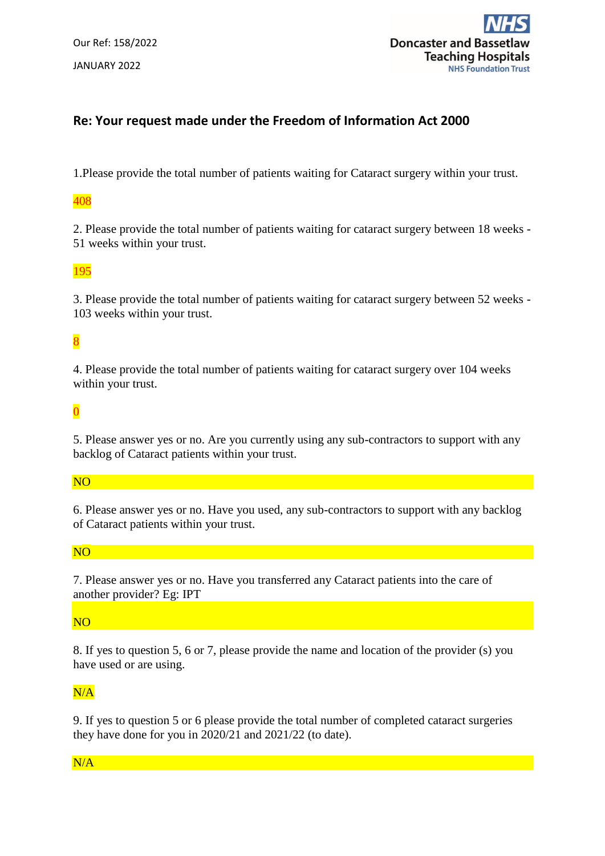Our Ref: 158/2022 JANUARY 2022



## **Re: Your request made under the Freedom of Information Act 2000**

1.Please provide the total number of patients waiting for Cataract surgery within your trust.

#### 408

2. Please provide the total number of patients waiting for cataract surgery between 18 weeks - 51 weeks within your trust.

### 195

3. Please provide the total number of patients waiting for cataract surgery between 52 weeks - 103 weeks within your trust.

# 8

4. Please provide the total number of patients waiting for cataract surgery over 104 weeks within your trust.

## $\overline{0}$

5. Please answer yes or no. Are you currently using any sub-contractors to support with any backlog of Cataract patients within your trust.

### NO

6. Please answer yes or no. Have you used, any sub-contractors to support with any backlog of Cataract patients within your trust.

### NO

7. Please answer yes or no. Have you transferred any Cataract patients into the care of another provider? Eg: IPT

### NO

8. If yes to question 5, 6 or 7, please provide the name and location of the provider (s) you have used or are using.

### N/A

9. If yes to question 5 or 6 please provide the total number of completed cataract surgeries they have done for you in 2020/21 and 2021/22 (to date).

### N/A